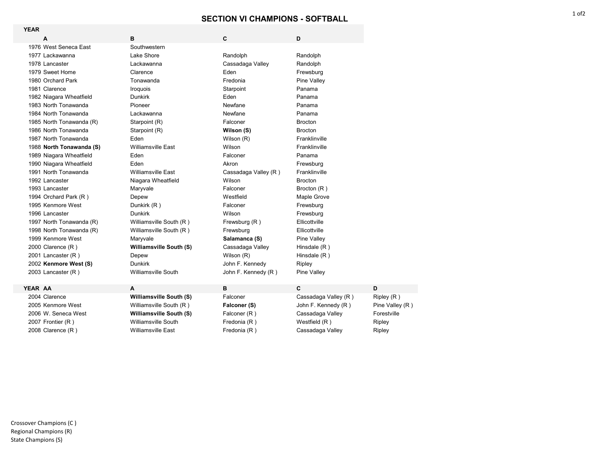## **SECTION VI CHAMPIONS - SOFTBALL**

| <b>YEAR</b>              |                                |                      |                      |                 |
|--------------------------|--------------------------------|----------------------|----------------------|-----------------|
| А                        | в                              | C                    | D                    |                 |
| 1976 West Seneca East    | Southwestern                   |                      |                      |                 |
| 1977 Lackawanna          | Lake Shore                     | Randolph             | Randolph             |                 |
| 1978 Lancaster           | Lackawanna                     | Cassadaga Valley     | Randolph             |                 |
| 1979 Sweet Home          | Clarence                       | Eden                 | Frewsburg            |                 |
| 1980 Orchard Park        | Tonawanda                      | Fredonia             | Pine Valley          |                 |
| 1981 Clarence            | Iroquois                       | Starpoint            | Panama               |                 |
| 1982 Niagara Wheatfield  | <b>Dunkirk</b>                 | Eden                 | Panama               |                 |
| 1983 North Tonawanda     | Pioneer                        | Newfane              | Panama               |                 |
| 1984 North Tonawanda     | Lackawanna                     | Newfane              | Panama               |                 |
| 1985 North Tonawanda (R) | Starpoint (R)                  | Falconer             | <b>Brocton</b>       |                 |
| 1986 North Tonawanda     | Starpoint (R)                  | Wilson (S)           | <b>Brocton</b>       |                 |
| 1987 North Tonawanda     | Eden                           | Wilson (R)           | Franklinville        |                 |
| 1988 North Tonawanda (S) | <b>Williamsville East</b>      | Wilson               | Franklinville        |                 |
| 1989 Niagara Wheatfield  | Eden                           | Falconer             | Panama               |                 |
| 1990 Niagara Wheatfield  | Fden                           | Akron                | Frewsburg            |                 |
| 1991 North Tonawanda     | <b>Williamsville East</b>      | Cassadaga Valley (R) | Franklinville        |                 |
| 1992 Lancaster           | Niagara Wheatfield             | Wilson               | <b>Brocton</b>       |                 |
| 1993 Lancaster           | Maryvale                       | Falconer             | Brocton (R)          |                 |
| 1994 Orchard Park (R)    | Depew                          | Westfield            | Maple Grove          |                 |
| 1995 Kenmore West        | Dunkirk (R)                    | Falconer             | Frewsburg            |                 |
| 1996 Lancaster           | <b>Dunkirk</b>                 | Wilson               | Frewsburg            |                 |
| 1997 North Tonawanda (R) | Williamsville South (R)        | Frewsburg $(R)$      | Ellicottville        |                 |
| 1998 North Tonawanda (R) | Williamsville South (R)        | Frewsburg            | Ellicottville        |                 |
| 1999 Kenmore West        | Maryvale                       | Salamanca (S)        | <b>Pine Valley</b>   |                 |
| 2000 Clarence (R)        | <b>Williamsville South (S)</b> | Cassadaga Valley     | Hinsdale $(R)$       |                 |
| 2001 Lancaster (R)       | Depew                          | Wilson (R)           | Hinsdale (R)         |                 |
| 2002 Kenmore West (S)    | <b>Dunkirk</b>                 | John F. Kennedy      | Ripley               |                 |
| 2003 Lancaster (R)       | <b>Williamsville South</b>     | John F. Kennedy (R)  | Pine Valley          |                 |
| <b>YEAR AA</b>           | A                              | B                    | C                    | D               |
| 2004 Clarence            | Williamsville South (S)        | Falconer             | Cassadaga Valley (R) | Ripley(R)       |
| 2005 Kenmore West        | Williamsville South (R)        | Falconer (S)         | John F. Kennedy (R)  | Pine Valley (R) |

 W. Seneca West **Williamsville South (S)** Falconer (R ) Cassadaga Valley Forestville 2007 Frontier (R ) **Williamsville South Communisty Communisty** Fredonia (R ) Westfield (R ) Ripley